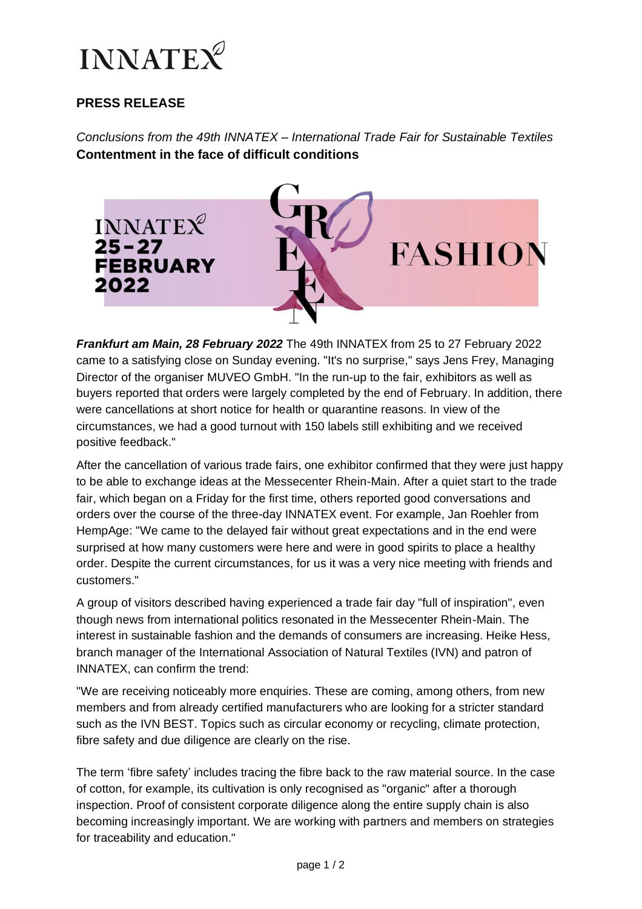

## **PRESS RELEASE**

*Conclusions from the 49th INNATEX* – *International Trade Fair for Sustainable Textiles* **Contentment in the face of difficult conditions** 



*Frankfurt am Main, 28 February 2022* The 49th INNATEX from 25 to 27 February 2022 came to a satisfying close on Sunday evening. "It's no surprise," says Jens Frey, Managing Director of the organiser MUVEO GmbH. "In the run-up to the fair, exhibitors as well as buyers reported that orders were largely completed by the end of February. In addition, there were cancellations at short notice for health or quarantine reasons. In view of the circumstances, we had a good turnout with 150 labels still exhibiting and we received positive feedback."

After the cancellation of various trade fairs, one exhibitor confirmed that they were just happy to be able to exchange ideas at the Messecenter Rhein-Main. After a quiet start to the trade fair, which began on a Friday for the first time, others reported good conversations and orders over the course of the three-day INNATEX event. For example, Jan Roehler from HempAge: "We came to the delayed fair without great expectations and in the end were surprised at how many customers were here and were in good spirits to place a healthy order. Despite the current circumstances, for us it was a very nice meeting with friends and customers."

A group of visitors described having experienced a trade fair day "full of inspiration", even though news from international politics resonated in the Messecenter Rhein-Main. The interest in sustainable fashion and the demands of consumers are increasing. Heike Hess, branch manager of the International Association of Natural Textiles (IVN) and patron of INNATEX, can confirm the trend:

"We are receiving noticeably more enquiries. These are coming, among others, from new members and from already certified manufacturers who are looking for a stricter standard such as the IVN BEST. Topics such as circular economy or recycling, climate protection, fibre safety and due diligence are clearly on the rise.

The term 'fibre safety' includes tracing the fibre back to the raw material source. In the case of cotton, for example, its cultivation is only recognised as "organic" after a thorough inspection. Proof of consistent corporate diligence along the entire supply chain is also becoming increasingly important. We are working with partners and members on strategies for traceability and education."